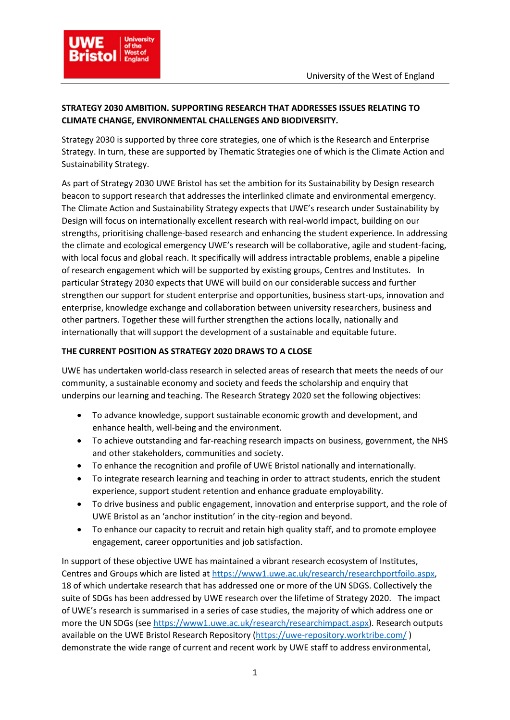

## **STRATEGY 2030 AMBITION. SUPPORTING RESEARCH THAT ADDRESSES ISSUES RELATING TO CLIMATE CHANGE, ENVIRONMENTAL CHALLENGES AND BIODIVERSITY.**

Strategy 2030 is supported by three core strategies, one of which is the Research and Enterprise Strategy. In turn, these are supported by Thematic Strategies one of which is the Climate Action and Sustainability Strategy.

As part of Strategy 2030 UWE Bristol has set the ambition for its Sustainability by Design research beacon to support research that addresses the interlinked climate and environmental emergency. The Climate Action and Sustainability Strategy expects that UWE's research under Sustainability by Design will focus on internationally excellent research with real-world impact, building on our strengths, prioritising challenge-based research and enhancing the student experience. In addressing the climate and ecological emergency UWE's research will be collaborative, agile and student-facing, with local focus and global reach. It specifically will address intractable problems, enable a pipeline of research engagement which will be supported by existing groups, Centres and Institutes. In particular Strategy 2030 expects that UWE will build on our considerable success and further strengthen our support for student enterprise and opportunities, business start-ups, innovation and enterprise, knowledge exchange and collaboration between university researchers, business and other partners. Together these will further strengthen the actions locally, nationally and internationally that will support the development of a sustainable and equitable future.

## **THE CURRENT POSITION AS STRATEGY 2020 DRAWS TO A CLOSE**

UWE has undertaken world-class research in selected areas of research that meets the needs of our community, a sustainable economy and society and feeds the scholarship and enquiry that underpins our learning and teaching. The Research Strategy 2020 set the following objectives:

- To advance knowledge, support sustainable economic growth and development, and enhance health, well-being and the environment.
- To achieve outstanding and far-reaching research impacts on business, government, the NHS and other stakeholders, communities and society.
- To enhance the recognition and profile of UWE Bristol nationally and internationally.
- To integrate research learning and teaching in order to attract students, enrich the student experience, support student retention and enhance graduate employability.
- To drive business and public engagement, innovation and enterprise support, and the role of UWE Bristol as an 'anchor institution' in the city-region and beyond.
- To enhance our capacity to recruit and retain high quality staff, and to promote employee engagement, career opportunities and job satisfaction.

In support of these objective UWE has maintained a vibrant research ecosystem of Institutes, Centres and Groups which are listed a[t https://www1.uwe.ac.uk/research/researchportfoilo.aspx,](https://www1.uwe.ac.uk/research/researchportfoilo.aspx) 18 of which undertake research that has addressed one or more of the UN SDGS. Collectively the suite of SDGs has been addressed by UWE research over the lifetime of Strategy 2020. The impact of UWE's research is summarised in a series of case studies, the majority of which address one or more the UN SDGs (see [https://www1.uwe.ac.uk/research/researchimpact.aspx\)](https://www1.uwe.ac.uk/research/researchimpact.aspx). Research outputs available on the UWE Bristol Research Repository [\(https://uwe-repository.worktribe.com/](https://uwe-repository.worktribe.com/) ) demonstrate the wide range of current and recent work by UWE staff to address environmental,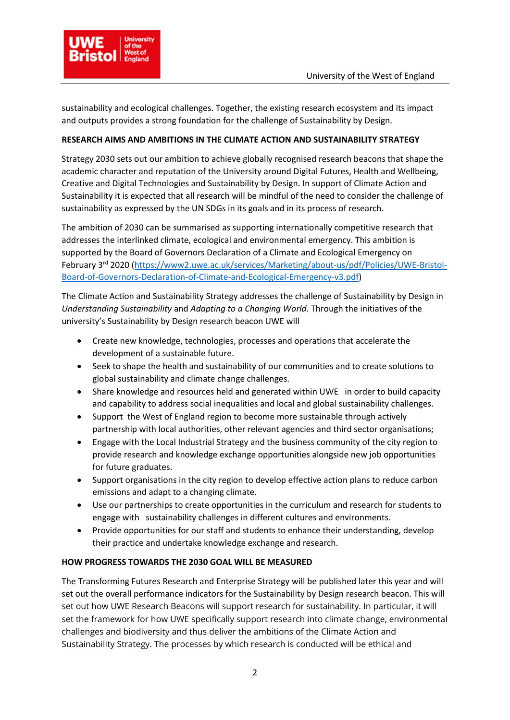

sustainability and ecological challenges. Together, the existing research ecosystem and its impact and outputs provides a strong foundation for the challenge of Sustainability by Design.

## **RESEARCH AIMS AND AMBITIONS IN THE CLIMATE ACTION AND SUSTAINABILITY STRATEGY**

Strategy 2030 sets out our ambition to achieve globally recognised research beacons that shape the academic character and reputation of the University around Digital Futures, Health and Wellbeing, Creative and Digital Technologies and Sustainability by Design. In support of Climate Action and Sustainability it is expected that all research will be mindful of the need to consider the challenge of sustainability as expressed by the UN SDGs in its goals and in its process of research.

The ambition of 2030 can be summarised as supporting internationally competitive research that addresses the interlinked climate, ecological and environmental emergency. This ambition is supported by the Board of Governors Declaration of a Climate and Ecological Emergency on February 3rd 2020 [\(https://www2.uwe.ac.uk/services/Marketing/about-us/pdf/Policies/UWE-Bristol-](https://www2.uwe.ac.uk/services/Marketing/about-us/pdf/Policies/UWE-Bristol-Board-of-Governors-Declaration-of-Climate-and-Ecological-Emergency-v3.pdf)[Board-of-Governors-Declaration-of-Climate-and-Ecological-Emergency-v3.pdf\)](https://www2.uwe.ac.uk/services/Marketing/about-us/pdf/Policies/UWE-Bristol-Board-of-Governors-Declaration-of-Climate-and-Ecological-Emergency-v3.pdf)

The Climate Action and Sustainability Strategy addresses the challenge of Sustainability by Design in *Understanding Sustainability* and *Adapting to a Changing World*. Through the initiatives of the university's Sustainability by Design research beacon UWE will

- Create new knowledge, technologies, processes and operations that accelerate the development of a sustainable future.
- Seek to shape the health and sustainability of our communities and to create solutions to global sustainability and climate change challenges.
- Share knowledge and resources held and generated within UWE in order to build capacity and capability to address social inequalities and local and global sustainability challenges.
- Support the West of England region to become more sustainable through actively partnership with local authorities, other relevant agencies and third sector organisations;
- Engage with the Local Industrial Strategy and the business community of the city region to provide research and knowledge exchange opportunities alongside new job opportunities for future graduates.
- Support organisations in the city region to develop effective action plans to reduce carbon emissions and adapt to a changing climate.
- Use our partnerships to create opportunities in the curriculum and research for students to engage with sustainability challenges in different cultures and environments.
- Provide opportunities for our staff and students to enhance their understanding, develop their practice and undertake knowledge exchange and research.

## **HOW PROGRESS TOWARDS THE 2030 GOAL WILL BE MEASURED**

The Transforming Futures Research and Enterprise Strategy will be published later this year and will set out the overall performance indicators for the Sustainability by Design research beacon. This will set out how UWE Research Beacons will support research for sustainability. In particular, it will set the framework for how UWE specifically support research into climate change, environmental challenges and biodiversity and thus deliver the ambitions of the Climate Action and Sustainability Strategy. The processes by which research is conducted will be ethical and